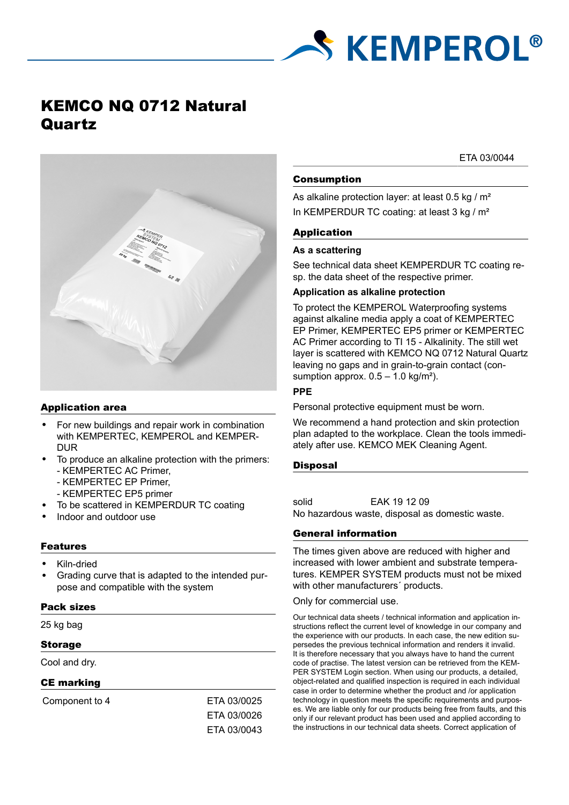

# KEMCO NQ 0712 Natural Quartz

# Application area

- For new buildings and repair work in combination with KEMPERTEC, KEMPEROL and KEMPER-DUR
- To produce an alkaline protection with the primers: - KEMPERTEC AC Primer,
	- KEMPERTEC EP Primer,
	- KEMPERTEC EP5 primer
- To be scattered in KEMPERDUR TC coating
- Indoor and outdoor use

# Features

- Kiln-dried
- Grading curve that is adapted to the intended purpose and compatible with the system

#### Pack sizes

25 kg bag

#### Storage

Cool and dry.

# CE marking

Component to 4 ETA 03/0025

ETA 03/0026 ETA 03/0043 ETA 03/0044

# Consumption

As alkaline protection layer: at least 0.5 kg / m<sup>2</sup> In KEMPERDUR TC coating: at least 3 kg / m<sup>2</sup>

# Application

#### **As a scattering**

See technical data sheet KEMPERDUR TC coating resp. the data sheet of the respective primer.

#### **Application as alkaline protection**

To protect the KEMPEROL Waterproofing systems against alkaline media apply a coat of KEMPERTEC EP Primer, KEMPERTEC EP5 primer or KEMPERTEC AC Primer according to TI 15 - Alkalinity. The still wet layer is scattered with KEMCO NQ 0712 Natural Quartz leaving no gaps and in grain-to-grain contact (consumption approx.  $0.5 - 1.0$  kg/m<sup>2</sup>).

#### **PPE**

Personal protective equipment must be worn.

We recommend a hand protection and skin protection plan adapted to the workplace. Clean the tools immediately after use. KEMCO MEK Cleaning Agent.

#### **Disposal**

solid EAK 19 12 09 No hazardous waste, disposal as domestic waste.

# General information

The times given above are reduced with higher and increased with lower ambient and substrate temperatures. KEMPER SYSTEM products must not be mixed with other manufacturers' products.

Only for commercial use.

Our technical data sheets / technical information and application instructions reflect the current level of knowledge in our company and the experience with our products. In each case, the new edition supersedes the previous technical information and renders it invalid. It is therefore necessary that you always have to hand the current code of practise. The latest version can be retrieved from the KEM-PER SYSTEM Login section. When using our products, a detailed, object-related and qualified inspection is required in each individual case in order to determine whether the product and /or application technology in question meets the specific requirements and purposes. We are liable only for our products being free from faults, and this only if our relevant product has been used and applied according to the instructions in our technical data sheets. Correct application of